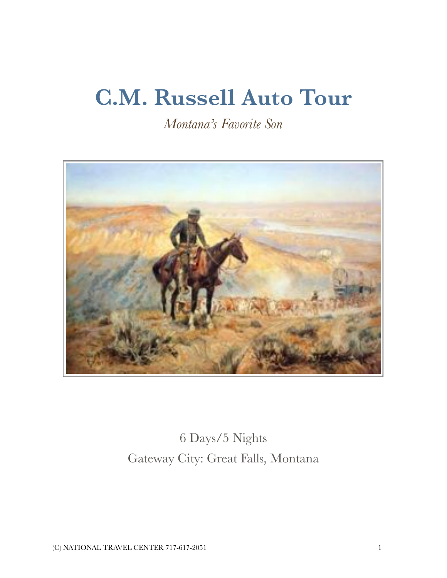# **C.M. Russell Auto Tour**

*Montana's Favorite Son* 



6 Days/5 Nights Gateway City: Great Falls, Montana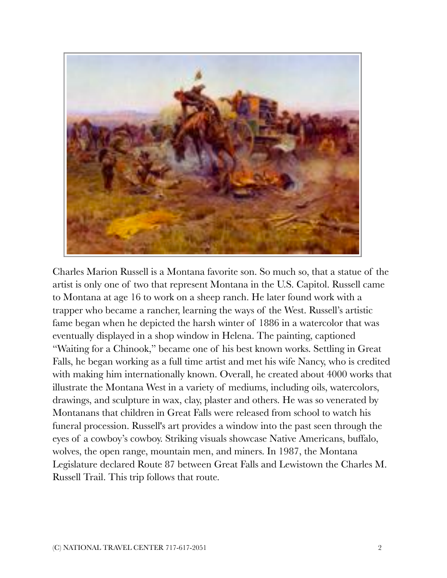

Charles Marion Russell is a Montana favorite son. So much so, that a statue of the artist is only one of two that represent Montana in the U.S. Capitol. Russell came to Montana at age 16 to work on a sheep ranch. He later found work with a trapper who became a rancher, learning the ways of the West. Russell's artistic fame began when he depicted the harsh winter of 1886 in a watercolor that was eventually displayed in a shop window in Helena. The painting, captioned "Waiting for a Chinook," became one of his best known works. Settling in Great Falls, he began working as a full time artist and met his wife Nancy, who is credited with making him internationally known. Overall, he created about 4000 works that illustrate the Montana West in a variety of mediums, including oils, watercolors, drawings, and sculpture in wax, clay, plaster and others. He was so venerated by Montanans that children in Great Falls were released from school to watch his funeral procession. Russell's art provides a window into the past seen through the eyes of a cowboy's cowboy. Striking visuals showcase Native Americans, buffalo, wolves, the open range, mountain men, and miners. In 1987, the Montana Legislature declared Route 87 between Great Falls and Lewistown the Charles M. Russell Trail. This trip follows that route.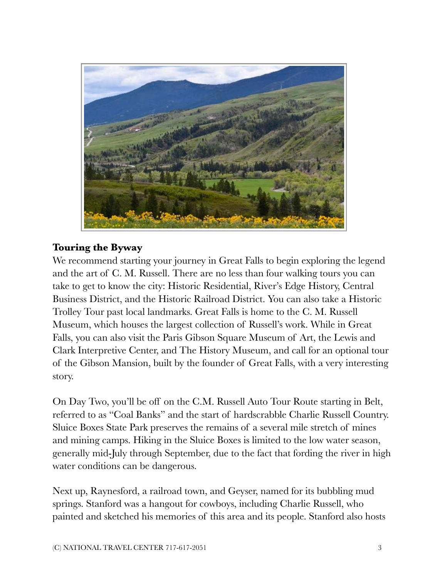

# **Touring the Byway**

We recommend starting your journey in Great Falls to begin exploring the legend and the art of C. M. Russell. There are no less than four walking tours you can take to get to know the city: Historic Residential, River's Edge History, Central Business District, and the Historic Railroad District. You can also take a Historic Trolley Tour past local landmarks. Great Falls is home to the C. M. Russell Museum, which houses the largest collection of Russell's work. While in Great Falls, you can also visit the Paris Gibson Square Museum of Art, the Lewis and Clark Interpretive Center, and The History Museum, and call for an optional tour of the Gibson Mansion, built by the founder of Great Falls, with a very interesting story.

On Day Two, you'll be off on the C.M. Russell Auto Tour Route starting in Belt, referred to as "Coal Banks" and the start of hardscrabble Charlie Russell Country. Sluice Boxes State Park preserves the remains of a several mile stretch of mines and mining camps. Hiking in the Sluice Boxes is limited to the low water season, generally mid-July through September, due to the fact that fording the river in high water conditions can be dangerous.

Next up, Raynesford, a railroad town, and Geyser, named for its bubbling mud springs. Stanford was a hangout for cowboys, including Charlie Russell, who painted and sketched his memories of this area and its people. Stanford also hosts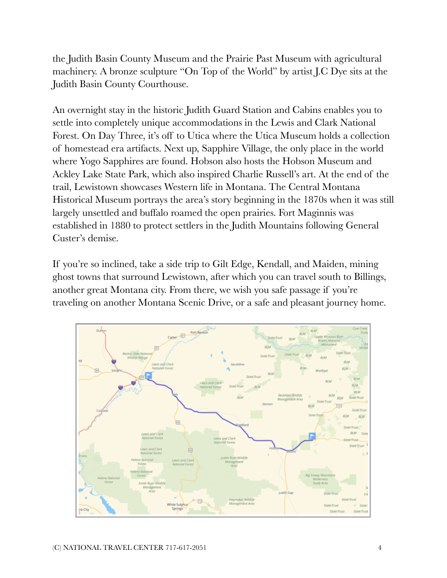the Judith Basin County Museum and the Prairie Past Museum with agricultural machinery. A bronze sculpture "On Top of the World" by artist J.C Dye sits at the Judith Basin County Courthouse.

An overnight stay in the historic Judith Guard Station and Cabins enables you to settle into completely unique accommodations in the Lewis and Clark National Forest. On Day Three, it's off to Utica where the Utica Museum holds a collection of homestead era artifacts. Next up, Sapphire Village, the only place in the world where Yogo Sapphires are found. Hobson also hosts the Hobson Museum and Ackley Lake State Park, which also inspired Charlie Russell's art. At the end of the trail, Lewistown showcases Western life in Montana. The Central Montana Historical Museum portrays the area's story beginning in the 1870s when it was still largely unsettled and buffalo roamed the open prairies. Fort Maginnis was established in 1880 to protect settlers in the Judith Mountains following General Custer's demise.

If you're so inclined, take a side trip to Gilt Edge, Kendall, and Maiden, mining ghost towns that surround Lewistown, after which you can travel south to Billings, another great Montana city. From there, we wish you safe passage if you're traveling on another Montana Scenic Drive, or a safe and pleasant journey home.

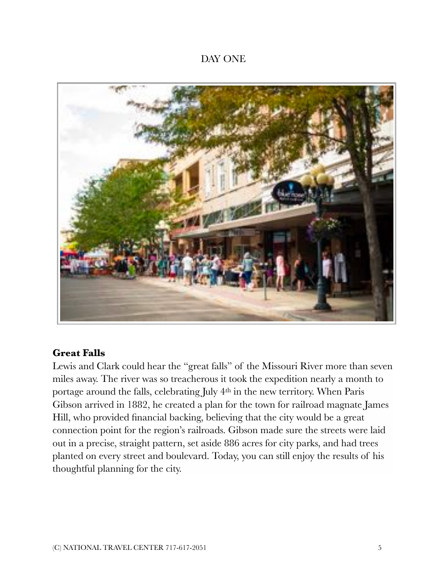#### DAY ONE



#### **Great Falls**

Lewis and Clark could hear the "great falls" of the Missouri River more than seven miles away. The river was so treacherous it took the expedition nearly a month to portage around the falls, celebrating July 4th in the new territory. When Paris Gibson arrived in 1882, he created a plan for the town for railroad magnate James Hill, who provided financial backing, believing that the city would be a great connection point for the region's railroads. Gibson made sure the streets were laid out in a precise, straight pattern, set aside 886 acres for city parks, and had trees planted on every street and boulevard. Today, you can still enjoy the results of his thoughtful planning for the city.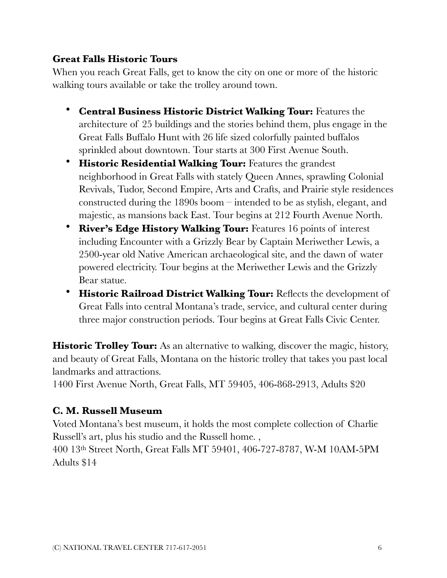# **Great Falls Historic Tours**

When you reach Great Falls, get to know the city on one or more of the historic walking tours available or take the trolley around town.

- **Central Business Historic District Walking Tour:** Features the architecture of 25 buildings and the stories behind them, plus engage in the Great Falls Buffalo Hunt with 26 life sized colorfully painted buffalos sprinkled about downtown. Tour starts at 300 First Avenue South.
- **Historic Residential Walking Tour:** Features the grandest neighborhood in Great Falls with stately Queen Annes, sprawling Colonial Revivals, Tudor, Second Empire, Arts and Crafts, and Prairie style residences constructed during the 1890s boom – intended to be as stylish, elegant, and majestic, as mansions back East. Tour begins at 212 Fourth Avenue North.
- **River's Edge History Walking Tour:** Features 16 points of interest including Encounter with a Grizzly Bear by Captain Meriwether Lewis, a 2500-year old Native American archaeological site, and the dawn of water powered electricity. Tour begins at the Meriwether Lewis and the Grizzly Bear statue.
- **Historic Railroad District Walking Tour:** Reflects the development of Great Falls into central Montana's trade, service, and cultural center during three major construction periods. Tour begins at Great Falls Civic Center.

**Historic Trolley Tour:** As an alternative to walking, discover the magic, history, and beauty of Great Falls, Montana on the historic trolley that takes you past local landmarks and attractions.

1400 First Avenue North, Great Falls, MT 59405, 406-868-2913, Adults \$20

# **C. M. Russell Museum**

Voted Montana's best museum, it holds the most complete collection of Charlie Russell's art, plus his studio and the Russell home. ,

400 13th Street North, Great Falls MT 59401, 406-727-8787, W-M 10AM-5PM Adults \$14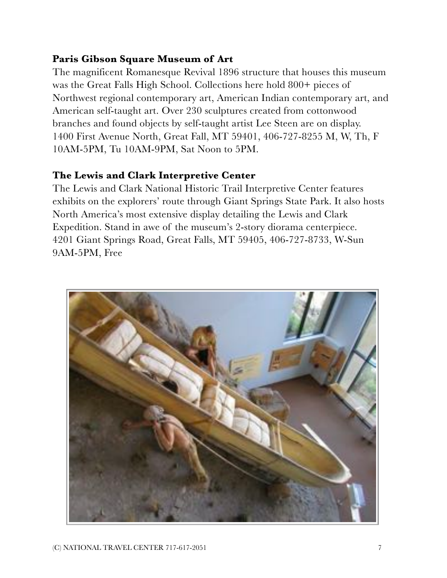# **Paris Gibson Square Museum of Art**

The magnificent Romanesque Revival 1896 structure that houses this museum was the Great Falls High School. Collections here hold 800+ pieces of Northwest regional contemporary art, American Indian contemporary art, and American self-taught art. Over 230 sculptures created from cottonwood branches and found objects by self-taught artist Lee Steen are on display. 1400 First Avenue North, Great Fall, MT 59401, 406-727-8255 M, W, Th, F 10AM-5PM, Tu 10AM-9PM, Sat Noon to 5PM.

#### **The Lewis and Clark Interpretive Center**

The Lewis and Clark National Historic Trail Interpretive Center features exhibits on the explorers' route through Giant Springs State Park. It also hosts North America's most extensive display detailing the Lewis and Clark Expedition. Stand in awe of the museum's 2-story diorama centerpiece. 4201 Giant Springs Road, Great Falls, MT 59405, 406-727-8733, W-Sun 9AM-5PM, Free

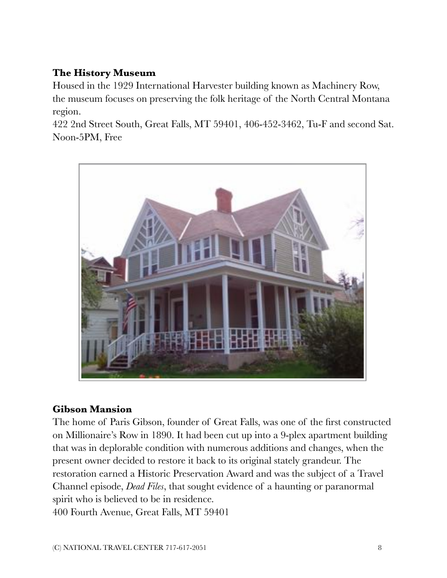# **The History Museum**

Housed in the 1929 International Harvester building known as Machinery Row, the museum focuses on preserving the folk heritage of the North Central Montana region.

422 2nd Street South, Great Falls, MT 59401, 406-452-3462, Tu-F and second Sat. Noon-5PM, Free



#### **Gibson Mansion**

The home of Paris Gibson, founder of Great Falls, was one of the first constructed on Millionaire's Row in 1890. It had been cut up into a 9-plex apartment building that was in deplorable condition with numerous additions and changes, when the present owner decided to restore it back to its original stately grandeur. The restoration earned a Historic Preservation Award and was the subject of a Travel Channel episode, *[Dead Files](http://www.travelchannel.com/shows/the-dead-files/episodes/am-i-crazy-great-falls-mt)*, that sought evidence of a haunting or paranormal spirit who is believed to be in residence. 400 Fourth Avenue, Great Falls, MT 59401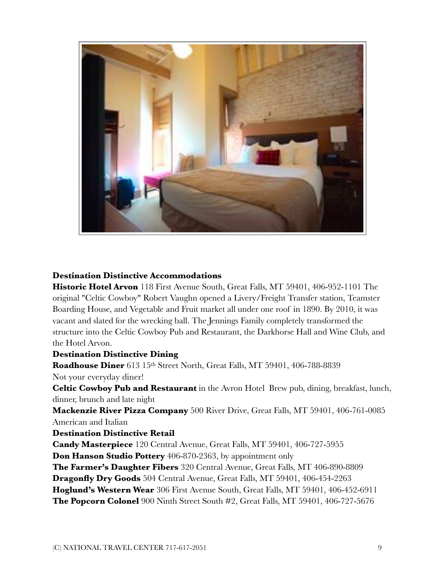

#### **Destination Distinctive Accommodations**

**Historic Hotel Arvon** 118 First Avenue South, Great Falls, MT 59401, 406-952-1101 The original "Celtic Cowboy" Robert Vaughn opened a Livery/Freight Transfer station, Teamster Boarding House, and Vegetable and Fruit market all under one roof in 1890. By 2010, it was vacant and slated for the wrecking ball. The Jennings Family completely transformed the structure into the Celtic Cowboy Pub and Restaurant, the Darkhorse Hall and Wine Club, and the Hotel Arvon.

#### **Destination Distinctive Dining**

**Roadhouse Diner** 613 15th Street North, Great Falls, MT 59401, 406-788-8839 Not your everyday diner!

**Celtic Cowboy Pub and Restaurant** in the Avron Hotel Brew pub, dining, breakfast, lunch, dinner, brunch and late night

**Mackenzie River Pizza Company** 500 River Drive, Great Falls, MT 59401, 406-761-0085 American and Italian

#### **Destination Distinctive Retail**

**Candy Masterpiece** 120 Central Avenue, Great Falls, MT 59401, 406-727-5955

**Don Hanson Studio Pottery** 406-870-2363, by appointment only

**The Farmer's Daughter Fibers** 320 Central Avenue, Great Falls, MT 406-890-8809

**Dragonfly Dry Goods** 504 Central Avenue, Great Falls, MT 59401, 406-454-2263

**Hoglund's Western Wear** 306 First Avenue South, Great Falls, MT 59401, 406-452-6911

**The Popcorn Colonel** 900 Ninth Street South #2, Great Falls, MT 59401, 406-727-5676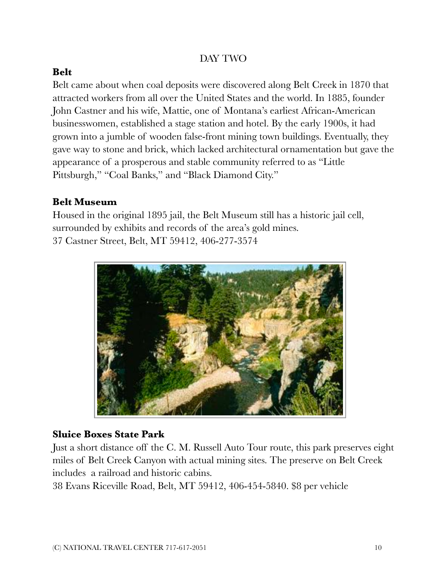#### DAY TWO

## **Belt**

Belt came about when coal deposits were discovered along Belt Creek in 1870 that attracted workers from all over the United States and the world. In 1885, founder John Castner and his wife, Mattie, one of Montana's earliest African-American businesswomen, established a stage station and hotel. By the early 1900s, it had grown into a jumble of wooden false-front mining town buildings. Eventually, they gave way to stone and brick, which lacked architectural ornamentation but gave the appearance of a prosperous and stable community referred to as "Little Pittsburgh," "Coal Banks," and "Black Diamond City."

# **Belt Museum**

Housed in the original 1895 jail, the Belt Museum still has a historic jail cell, surrounded by exhibits and records of the area's gold mines. 37 Castner Street, Belt, MT 59412, 406-277-3574



#### **Sluice Boxes State Park**

Just a short distance off the C. M. Russell Auto Tour route, this park preserves eight miles of Belt Creek Canyon with actual mining sites. The preserve on Belt Creek includes a railroad and historic cabins.

38 Evans Riceville Road, Belt, MT 59412, 406-454-5840. \$8 per vehicle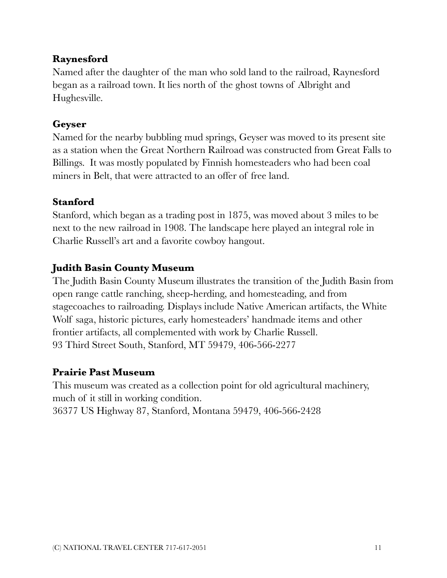# **Raynesford**

Named after the daughter of the man who sold land to the railroad, Raynesford began as a railroad town. It lies north of the ghost towns of Albright and Hughesville.

#### **Geyser**

Named for the nearby bubbling mud springs, Geyser was moved to its present site as a station when the Great Northern Railroad was constructed from Great Falls to Billings. It was mostly populated by Finnish homesteaders who had been coal miners in Belt, that were attracted to an offer of free land.

# **Stanford**

Stanford, which began as a trading post in 1875, was moved about 3 miles to be next to the new railroad in 1908. The landscape here played an integral role in Charlie Russell's art and a favorite cowboy hangout.

# **Judith Basin County Museum**

The Judith Basin County Museum illustrates the transition of the Judith Basin from open range cattle ranching, sheep-herding, and homesteading, and from stagecoaches to railroading. Displays include Native American artifacts, the White Wolf saga, historic pictures, early homesteaders' handmade items and other frontier artifacts, all complemented with work by Charlie Russell. 93 Third Street South, Stanford, MT 59479, 406-566-2277

#### **Prairie Past Museum**

This museum was created as a collection point for old agricultural machinery, much of it still in working condition. 36377 US Highway 87, Stanford, Montana 59479, 406-566-2428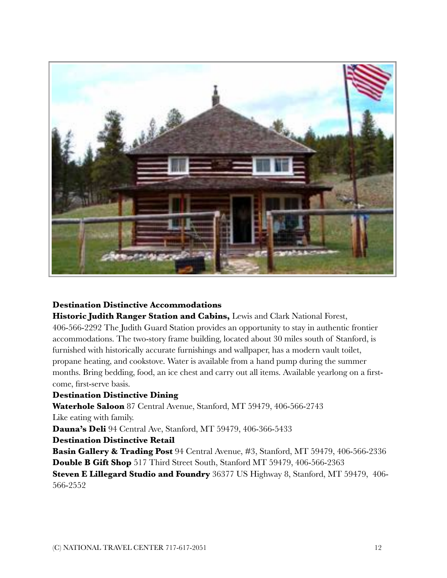

#### **Destination Distinctive Accommodations**

**Historic Judith Ranger Station and Cabins,** Lewis and Clark National Forest, 406-566-2292 The Judith Guard Station provides an opportunity to stay in authentic frontier accommodations. The two-story frame building, located about 30 miles south of Stanford, is furnished with historically accurate furnishings and wallpaper, has a modern vault toilet, propane heating, and cookstove. Water is available from a hand pump during the summer months. Bring bedding, food, an ice chest and carry out all items. Available yearlong on a firstcome, first-serve basis.

#### **Destination Distinctive Dining**

**Waterhole Saloon** 87 Central Avenue, Stanford, MT 59479, 406-566-2743 Like eating with family.

**Dauna's Deli** 94 Central Ave, Stanford, MT 59479, 406-366-5433

**Destination Distinctive Retail** 

**Basin Gallery & Trading Post** 94 Central Avenue, #3, Stanford, MT 59479, 406-566-2336 **Double B Gift Shop** 517 Third Street South, Stanford MT 59479, 406-566-2363 **Steven E Lillegard Studio and Foundry** 36377 US Highway 8, Stanford, MT 59479, 406-

566-2552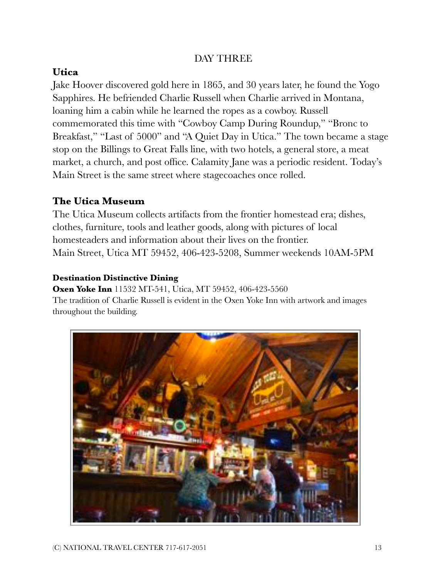#### DAY THREE

#### **Utica**

Jake Hoover discovered gold here in 1865, and 30 years later, he found the Yogo Sapphires. He befriended Charlie Russell when Charlie arrived in Montana, loaning him a cabin while he learned the ropes as a cowboy. Russell commemorated this time with "Cowboy Camp During Roundup," "Bronc to Breakfast," "Last of 5000" and "A Quiet Day in Utica." The town became a stage stop on the Billings to Great Falls line, with two hotels, a general store, a meat market, a church, and post office. Calamity Jane was a periodic resident. Today's Main Street is the same street where stagecoaches once rolled.

# **The Utica Museum**

The Utica Museum collects artifacts from the frontier homestead era; dishes, clothes, furniture, tools and leather goods, along with pictures of local homesteaders and information about their lives on the frontier. Main Street, Utica MT 59452, 406-423-5208, Summer weekends 10AM-5PM

#### **Destination Distinctive Dining**

**Oxen Yoke Inn** 11532 MT-541, Utica, MT 59452, 406-423-5560 The tradition of Charlie Russell is evident in the Oxen Yoke Inn with artwork and images throughout the building.

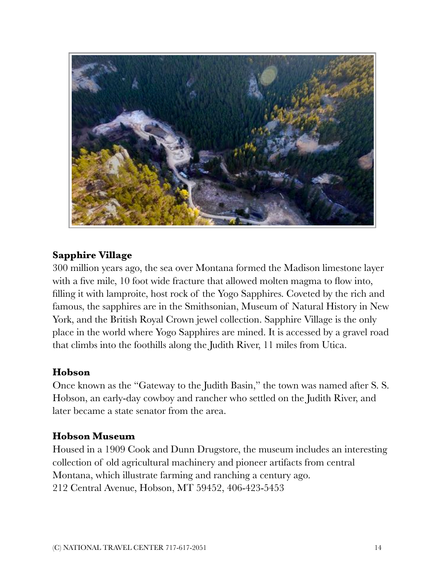

#### **Sapphire Village**

300 million years ago, the sea over Montana formed the Madison limestone layer with a five mile, 10 foot wide fracture that allowed molten magma to flow into, filling it with lamproite, host rock of the Yogo Sapphires. Coveted by the rich and famous, the sapphires are in the Smithsonian, Museum of Natural History in New York, and the British Royal Crown jewel collection. Sapphire Village is the only place in the world where Yogo Sapphires are mined. It is accessed by a gravel road that climbs into the foothills along the Judith River, 11 miles from Utica.

#### **Hobson**

Once known as the "Gateway to the Judith Basin," the town was named after S. S. Hobson, an early-day cowboy and rancher who settled on the Judith River, and later became a state senator from the area.

#### **Hobson Museum**

Housed in a 1909 Cook and Dunn Drugstore, the museum includes an interesting collection of old agricultural machinery and pioneer artifacts from central Montana, which illustrate farming and ranching a century ago. 212 Central Avenue, Hobson, MT 59452, 406-423-5453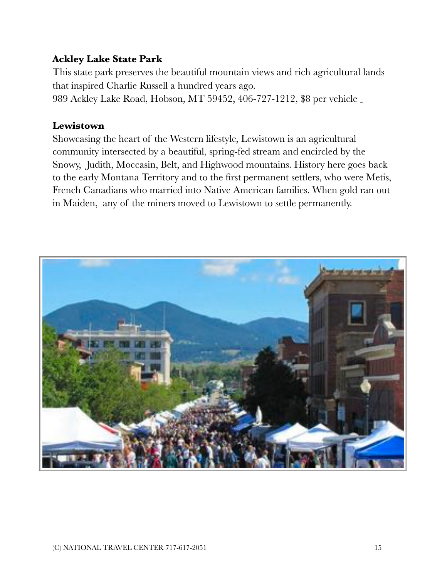# **Ackley Lake State Park**

This state park preserves the beautiful mountain views and rich agricultural lands that inspired Charlie Russell a hundred years ago.

989 Ackley Lake Road, Hobson, MT 59452, 406-727-1212, \$8 per vehicle

#### **Lewistown**

Showcasing the heart of the Western lifestyle, Lewistown is an agricultural community intersected by a beautiful, spring-fed stream and encircled by the Snowy, Judith, Moccasin, Belt, and Highwood mountains. History here goes back to the early Montana Territory and to the first permanent settlers, who were Metis, French Canadians who married into Native American families. When gold ran out in Maiden, any of the miners moved to Lewistown to settle permanently.

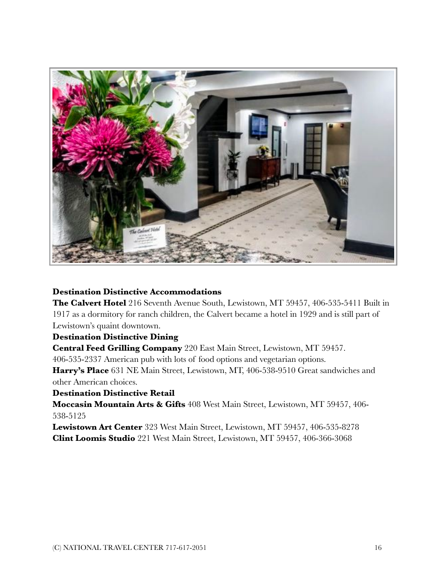

#### **Destination Distinctive Accommodations**

**The Calvert Hotel** 216 Seventh Avenue South, Lewistown, MT 59457, 406-535-5411 Built in 1917 as a dormitory for ranch children, the Calvert became a hotel in 1929 and is still part of Lewistown's quaint downtown.

#### **Destination Distinctive Dining**

**Central Feed Grilling Company** 220 East Main Street, Lewistown, MT 59457.

406-535-2337 American pub with lots of food options and vegetarian options.

**Harry's Place** 631 NE Main Street, Lewistown, MT, 406-538-9510 Great sandwiches and other American choices.

#### **Destination Distinctive Retail**

**Moccasin Mountain Arts & Gifts** 408 West Main Street, Lewistown, MT 59457, 406- 538-5125

**Lewistown Art Center** 323 West Main Street, Lewistown, MT 59457, 406-535-8278 **Clint Loomis Studio** 221 West Main Street, Lewistown, MT 59457, 406-366-3068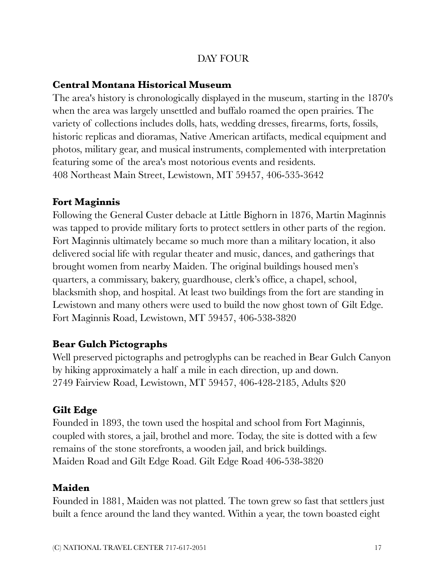## DAY FOUR

#### **Central Montana Historical Museum**

The area's history is chronologically displayed in the museum, starting in the 1870's when the area was largely unsettled and buffalo roamed the open prairies. The variety of collections includes dolls, hats, wedding dresses, firearms, forts, fossils, historic replicas and dioramas, Native American artifacts, medical equipment and photos, military gear, and musical instruments, complemented with interpretation featuring some of the area's most notorious events and residents. 408 Northeast Main Street, Lewistown, MT 59457, 406-535-3642

# **Fort Maginnis**

Following the General Custer debacle at Little Bighorn in 1876, Martin Maginnis was tapped to provide military forts to protect settlers in other parts of the region. Fort Maginnis ultimately became so much more than a military location, it also delivered social life with regular theater and music, dances, and gatherings that brought women from nearby Maiden. The original buildings housed men's quarters, a commissary, bakery, guardhouse, clerk's office, a chapel, school, blacksmith shop, and hospital. At least two buildings from the fort are standing in Lewistown and many others were used to build the now ghost town of Gilt Edge. Fort Maginnis Road, Lewistown, MT 59457, 406-538-3820

# **Bear Gulch Pictographs**

Well preserved pictographs and petroglyphs can be reached in Bear Gulch Canyon by hiking approximately a half a mile in each direction, up and down. 2749 Fairview Road, Lewistown, MT 59457, 406-428-2185, Adults \$20

# **Gilt Edge**

Founded in 1893, the town used the hospital and school from Fort Maginnis, coupled with stores, a jail, brothel and more. Today, the site is dotted with a few remains of the stone storefronts, a wooden jail, and brick buildings. Maiden Road and Gilt Edge Road. Gilt Edge Road 406-538-3820

#### **Maiden**

Founded in 1881, Maiden was not platted. The town grew so fast that settlers just built a fence around the land they wanted. Within a year, the town boasted eight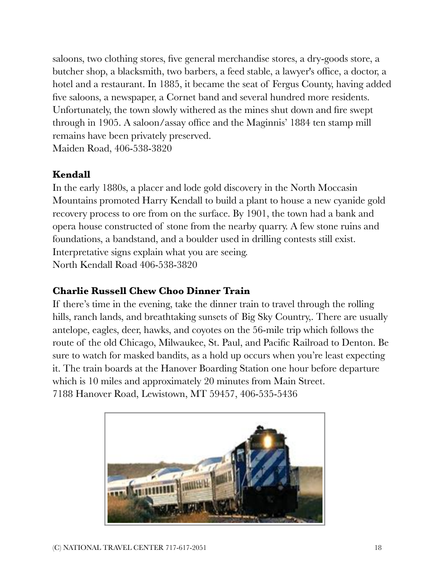saloons, two clothing stores, five general merchandise stores, a dry-goods store, a butcher shop, a blacksmith, two barbers, a feed stable, a lawyer's office, a doctor, a hotel and a restaurant. In 1885, it became the seat of Fergus County, having added five saloons, a newspaper, a Cornet band and several hundred more residents. Unfortunately, the town slowly withered as the mines shut down and fire swept through in 1905. A saloon/assay office and the Maginnis' 1884 ten stamp mill remains have been privately preserved. Maiden Road, 406-538-3820

#### **Kendall**

In the early 1880s, a placer and lode gold discovery in the North Moccasin Mountains promoted Harry Kendall to build a plant to house a new cyanide gold recovery process to ore from on the surface. By 1901, the town had a bank and opera house constructed of stone from the nearby quarry. A few stone ruins and foundations, a bandstand, and a boulder used in drilling contests still exist. Interpretative signs explain what you are seeing. North Kendall Road 406-538-3820

#### **Charlie Russell Chew Choo Dinner Train**

If there's time in the evening, take the dinner train to travel through the rolling hills, ranch lands, and breathtaking sunsets of Big Sky Country,. There are usually antelope, eagles, deer, hawks, and coyotes on the 56-mile trip which follows the route of the old Chicago, Milwaukee, St. Paul, and Pacific Railroad to Denton. Be sure to watch for masked bandits, as a hold up occurs when you're least expecting it. The train boards at the Hanover Boarding Station one hour before departure which is 10 miles and approximately 20 minutes from Main Street. 7188 Hanover Road, Lewistown, MT 59457, 406-535-5436

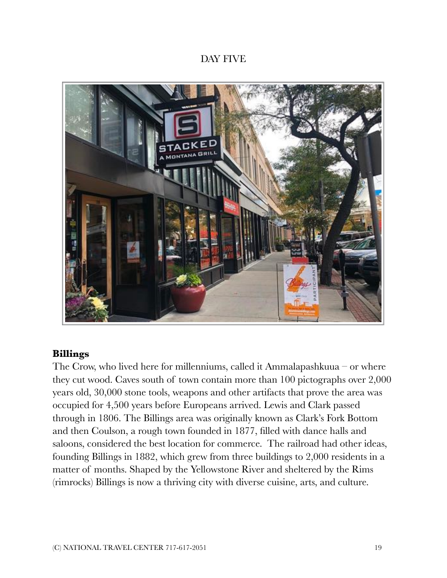#### DAY FIVE



#### **Billings**

The Crow, who lived here for millenniums, called it Ammalapashkuua – or where they cut wood. Caves south of town contain more than 100 pictographs over 2,000 years old, 30,000 stone tools, weapons and other artifacts that prove the area was occupied for 4,500 years before Europeans arrived. Lewis and Clark passed through in 1806. The Billings area was originally known as Clark's Fork Bottom and then Coulson, a rough town founded in 1877, filled with dance halls and saloons, considered the best location for commerce. The railroad had other ideas, founding Billings in 1882, which grew from three buildings to 2,000 residents in a matter of months. Shaped by the Yellowstone River and sheltered by the Rims (rimrocks) Billings is now a thriving city with diverse cuisine, arts, and culture.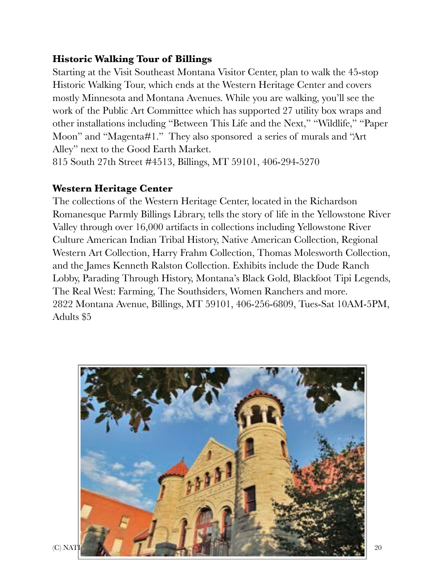#### **Historic Walking Tour of Billings**

Starting at the Visit Southeast Montana Visitor Center, plan to walk the 45-stop Historic Walking Tour, which ends at the Western Heritage Center and covers mostly Minnesota and Montana Avenues. While you are walking, you'll see the work of the Public Art Committee which has supported 27 utility box wraps and other installations including "Between This Life and the Next," "Wildlife," "Paper Moon" and "Magenta#1." They also sponsored a series of murals and "Art Alley" next to the Good Earth Market.

815 South 27th Street #4513, Billings, MT 59101, 406-294-5270

# **Western Heritage Center**

The collections of the Western Heritage Center, located in the Richardson Romanesque Parmly Billings Library, tells the story of life in the Yellowstone River Valley through over 16,000 artifacts in collections including Yellowstone River Culture American Indian Tribal History, Native American Collection, Regional Western Art Collection, Harry Frahm Collection, Thomas Molesworth Collection, and the James Kenneth Ralston Collection. Exhibits include the Dude Ranch Lobby, Parading Through History, Montana's Black Gold, Blackfoot Tipi Legends, The Real West: Farming, The Southsiders, Women Ranchers and more. 2822 Montana Avenue, Billings, MT 59101, 406-256-6809, Tues-Sat 10AM-5PM, Adults \$5

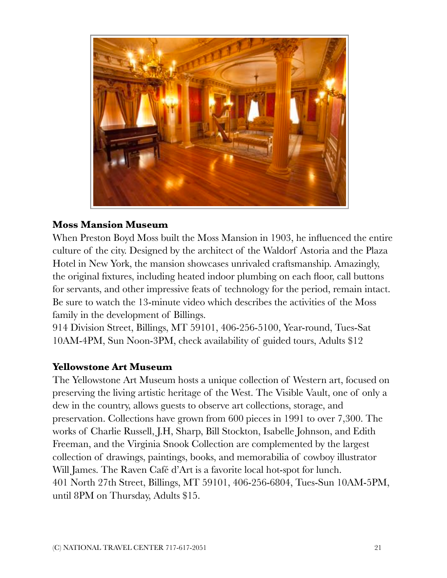

#### **Moss Mansion Museum**

When Preston Boyd Moss built the Moss Mansion in 1903, he influenced the entire culture of the city. Designed by the architect of the Waldorf Astoria and the Plaza Hotel in New York, the mansion showcases unrivaled craftsmanship. Amazingly, the original fixtures, including heated indoor plumbing on each floor, call buttons for servants, and other impressive feats of technology for the period, remain intact. Be sure to watch the 13-minute video which describes the activities of the Moss family in the development of Billings.

914 Division Street, Billings, MT 59101, 406-256-5100, Year-round, Tues-Sat 10AM-4PM, Sun Noon-3PM, check availability of guided tours, Adults \$12

#### **Yellowstone Art Museum**

The Yellowstone Art Museum hosts a unique collection of Western art, focused on preserving the living artistic heritage of the West. The Visible Vault, one of only a dew in the country, allows guests to observe art collections, storage, and preservation. Collections have grown from 600 pieces in 1991 to over 7,300. The works of Charlie Russell, J.H, Sharp, Bill Stockton, Isabelle Johnson, and Edith Freeman, and the Virginia Snook Collection are complemented by the largest collection of drawings, paintings, books, and memorabilia of cowboy illustrator Will James. The Raven Café d'Art is a favorite local hot-spot for lunch. 401 North 27th Street, Billings, MT 59101, 406-256-6804, Tues-Sun 10AM-5PM, until 8PM on Thursday, Adults \$15.